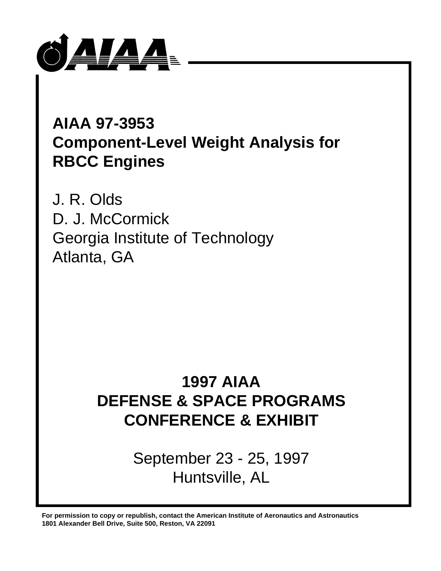

# **AIAA 97-3953 Component-Level Weight Analysis for RBCC Engines**

J. R. Olds D. J. McCormick Georgia Institute of Technology Atlanta, GA

# **1997 AIAA DEFENSE & SPACE PROGRAMS CONFERENCE & EXHIBIT**

September 23 - 25, 1997 Huntsville, AL

**For permission to copy or republish, contact the American Institute of Aeronautics and Astronautics 1801 Alexander Bell Drive, Suite 500, Reston, VA 22091**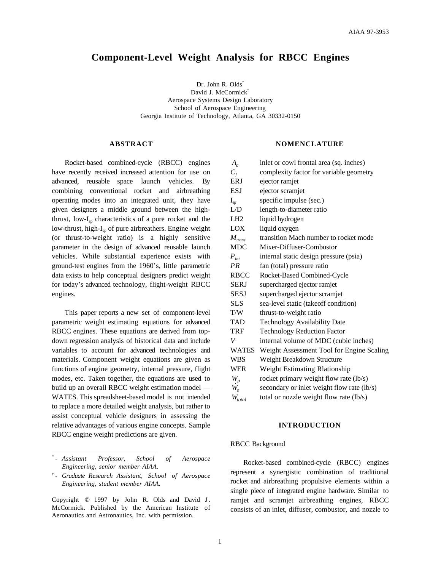# **Component-Level Weight Analysis for RBCC Engines**

Dr. John R. Olds<sup>\*</sup> David J. McCormick† Aerospace Systems Design Laboratory School of Aerospace Engineering Georgia Institute of Technology, Atlanta, GA 30332-0150

# **ABSTRACT**

Rocket-based combined-cycle (RBCC) engines have recently received increased attention for use on advanced, reusable space launch vehicles. By combining conventional rocket and airbreathing operating modes into an integrated unit, they have given designers a middle ground between the highthrust, low- $I_{sn}$  characteristics of a pure rocket and the low-thrust, high- $I_{sn}$  of pure airbreathers. Engine weight (or thrust-to-weight ratio) is a highly sensitive parameter in the design of advanced reusable launch vehicles. While substantial experience exists with ground-test engines from the 1960's, little parametric data exists to help conceptual designers predict weight for today's advanced technology, flight-weight RBCC engines.

This paper reports a new set of component-level parametric weight estimating equations for advanced RBCC engines. These equations are derived from topdown regression analysis of historical data and include variables to account for advanced technologies and materials. Component weight equations are given as functions of engine geometry, internal pressure, flight modes, etc. Taken together, the equations are used to build up an overall RBCC weight estimation model — WATES. This spreadsheet-based model is not intended to replace a more detailed weight analysis, but rather to assist conceptual vehicle designers in assessing the relative advantages of various engine concepts. Sample RBCC engine weight predictions are given.

 $\overline{a}$ 

Copyright  $\odot$  1997 by John R. Olds and David J. McCormick. Published by the American Institute of Aeronautics and Astronautics, Inc. with permission.

#### **NOMENCLATURE**

| inlet or cowl frontal area (sq. inches)    |
|--------------------------------------------|
| complexity factor for variable geometry    |
| ejector ramjet                             |
| ejector scramjet                           |
| specific impulse (sec.)                    |
| length-to-diameter ratio                   |
| liquid hydrogen                            |
| liquid oxygen                              |
| transition Mach number to rocket mode      |
| Mixer-Diffuser-Combustor                   |
| internal static design pressure (psia)     |
| fan (total) pressure ratio                 |
| Rocket-Based Combined-Cycle                |
| supercharged ejector ramjet                |
| supercharged ejector scramjet              |
| sea-level static (take off condition)      |
| thrust-to-weight ratio                     |
| <b>Technology Availability Date</b>        |
| <b>Technology Reduction Factor</b>         |
| internal volume of MDC (cubic inches)      |
| Weight Assessment Tool for Engine Scaling  |
| Weight Breakdown Structure                 |
| Weight Estimating Rlationship              |
| rocket primary weight flow rate (lb/s)     |
| secondary or inlet weight flow rate (lb/s) |
| total or nozzle weight flow rate (lb/s)    |
|                                            |

# **INTRODUCTION**

# RBCC Background

Rocket-based combined-cycle (RBCC) engines represent a synergistic combination of traditional rocket and airbreathing propulsive elements within a single piece of integrated engine hardware. Similar to ramjet and scramjet airbreathing engines, RBCC consists of an inlet, diffuser, combustor, and nozzle to

*<sup>\*</sup> - Assistant Professor, School of Aerospace Engineering, senior member AIAA.*

*<sup>†</sup> - Graduate Research Assistant, School of Aerospace Engineering, student member AIAA.*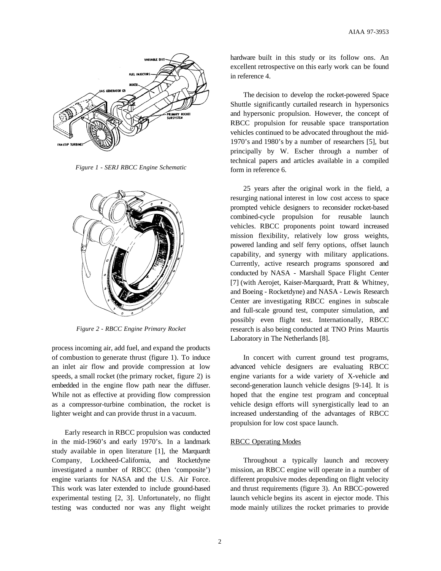

*Figure 1 - SERJ RBCC Engine Schematic*



*Figure 2 - RBCC Engine Primary Rocket*

process incoming air, add fuel, and expand the products of combustion to generate thrust (figure 1). To induce an inlet air flow and provide compression at low speeds, a small rocket (the primary rocket, figure 2) is embedded in the engine flow path near the diffuser. While not as effective at providing flow compression as a compressor-turbine combination, the rocket is lighter weight and can provide thrust in a vacuum.

Early research in RBCC propulsion was conducted in the mid-1960's and early 1970's. In a landmark study available in open literature [1], the Marquardt Company, Lockheed-California, and Rocketdyne investigated a number of RBCC (then 'composite') engine variants for NASA and the U.S. Air Force. This work was later extended to include ground-based experimental testing [2, 3]. Unfortunately, no flight testing was conducted nor was any flight weight

hardware built in this study or its follow ons. An excellent retrospective on this early work can be found in reference 4.

The decision to develop the rocket-powered Space Shuttle significantly curtailed research in hypersonics and hypersonic propulsion. However, the concept of RBCC propulsion for reusable space transportation vehicles continued to be advocated throughout the mid-1970's and 1980's by a number of researchers [5], but principally by W. Escher through a number of technical papers and articles available in a compiled form in reference 6.

25 years after the original work in the field, a resurging national interest in low cost access to space prompted vehicle designers to reconsider rocket-based combined-cycle propulsion for reusable launch vehicles. RBCC proponents point toward increased mission flexibility, relatively low gross weights, powered landing and self ferry options, offset launch capability, and synergy with military applications. Currently, active research programs sponsored and conducted by NASA - Marshall Space Flight Center [7] (with Aerojet, Kaiser-Marquardt, Pratt & Whitney, and Boeing - Rocketdyne) and NASA - Lewis Research Center are investigating RBCC engines in subscale and full-scale ground test, computer simulation, and possibly even flight test. Internationally, RBCC research is also being conducted at TNO Prins Maurtis Laboratory in The Netherlands [8].

In concert with current ground test programs, advanced vehicle designers are evaluating RBCC engine variants for a wide variety of X-vehicle and second-generation launch vehicle designs [9-14]. It is hoped that the engine test program and conceptual vehicle design efforts will synergistically lead to an increased understanding of the advantages of RBCC propulsion for low cost space launch.

#### RBCC Operating Modes

Throughout a typically launch and recovery mission, an RBCC engine will operate in a number of different propulsive modes depending on flight velocity and thrust requirements (figure 3). An RBCC-powered launch vehicle begins its ascent in ejector mode. This mode mainly utilizes the rocket primaries to provide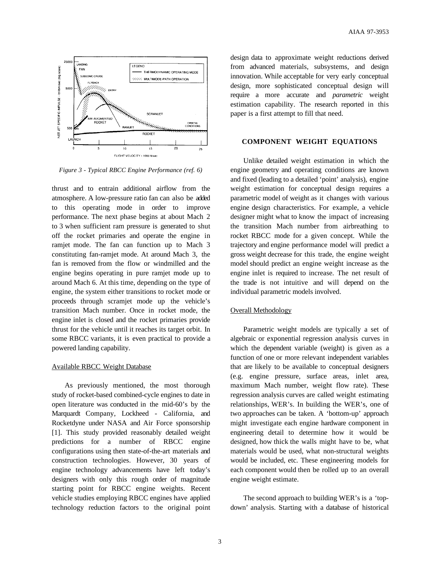

*Figure 3 - Typical RBCC Engine Performance (ref. 6)*

thrust and to entrain additional airflow from the atmosphere. A low-pressure ratio fan can also be added to this operating mode in order to improve performance. The next phase begins at about Mach 2 to 3 when sufficient ram pressure is generated to shut off the rocket primaries and operate the engine in ramjet mode. The fan can function up to Mach 3 constituting fan-ramjet mode. At around Mach 3, the fan is removed from the flow or windmilled and the engine begins operating in pure ramjet mode up to around Mach 6. At this time, depending on the type of engine, the system either transitions to rocket mode or proceeds through scramjet mode up the vehicle's transition Mach number. Once in rocket mode, the engine inlet is closed and the rocket primaries provide thrust for the vehicle until it reaches its target orbit. In some RBCC variants, it is even practical to provide a powered landing capability.

#### Available RBCC Weight Database

As previously mentioned, the most thorough study of rocket-based combined-cycle engines to date in open literature was conducted in the mid-60's by the Marquardt Company, Lockheed - California, and Rocketdyne under NASA and Air Force sponsorship [1]. This study provided reasonably detailed weight predictions for a number of RBCC engine configurations using then state-of-the-art materials and construction technologies. However, 30 years of engine technology advancements have left today's designers with only this rough order of magnitude starting point for RBCC engine weights. Recent vehicle studies employing RBCC engines have applied technology reduction factors to the original point

design data to approximate weight reductions derived from advanced materials, subsystems, and design innovation. While acceptable for very early conceptual design, more sophisticated conceptual design will require a more accurate and *parametric* weight estimation capability. The research reported in this paper is a first attempt to fill that need.

# **COMPONENT WEIGHT EQUATIONS**

Unlike detailed weight estimation in which the engine geometry and operating conditions are known and fixed (leading to a detailed 'point' analysis), engine weight estimation for conceptual design requires a parametric model of weight as it changes with various engine design characteristics. For example, a vehicle designer might what to know the impact of increasing the transition Mach number from airbreathing to rocket RBCC mode for a given concept. While the trajectory and engine performance model will predict a gross weight decrease for this trade, the engine weight model should predict an engine weight increase as the engine inlet is required to increase. The net result of the trade is not intuitive and will depend on the individual parametric models involved.

# Overall Methodology

Parametric weight models are typically a set of algebraic or exponential regression analysis curves in which the dependent variable (weight) is given as a function of one or more relevant independent variables that are likely to be available to conceptual designers (e.g. engine pressure, surface areas, inlet area, maximum Mach number, weight flow rate). These regression analysis curves are called weight estimating relationships, WER's. In building the WER's, one of two approaches can be taken. A 'bottom-up' approach might investigate each engine hardware component in engineering detail to determine how it would be designed, how thick the walls might have to be, what materials would be used, what non-structural weights would be included, etc. These engineering models for each component would then be rolled up to an overall engine weight estimate.

The second approach to building WER's is a 'topdown' analysis. Starting with a database of historical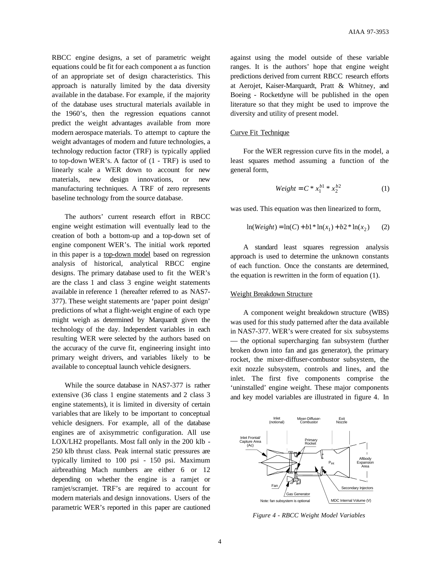RBCC engine designs, a set of parametric weight equations could be fit for each component a as function of an appropriate set of design characteristics. This approach is naturally limited by the data diversity available in the database. For example, if the majority of the database uses structural materials available in the 1960's, then the regression equations cannot predict the weight advantages available from more modern aerospace materials. To attempt to capture the weight advantages of modern and future technologies, a technology reduction factor (TRF) is typically applied to top-down WER's. A factor of (1 - TRF) is used to linearly scale a WER down to account for new materials, new design innovations, or new manufacturing techniques. A TRF of zero represents baseline technology from the source database.

The authors' current research effort in RBCC engine weight estimation will eventually lead to the creation of both a bottom-up and a top-down set of engine component WER's. The initial work reported in this paper is a top-down model based on regression analysis of historical, analytical RBCC engine designs. The primary database used to fit the WER's are the class 1 and class 3 engine weight statements available in reference 1 (hereafter referred to as NAS7- 377). These weight statements are 'paper point design' predictions of what a flight-weight engine of each type might weigh as determined by Marquardt given the technology of the day. Independent variables in each resulting WER were selected by the authors based on the accuracy of the curve fit, engineering insight into primary weight drivers, and variables likely to be available to conceptual launch vehicle designers.

While the source database in NAS7-377 is rather extensive (36 class 1 engine statements and 2 class 3 engine statements), it is limited in diversity of certain variables that are likely to be important to conceptual vehicle designers. For example, all of the database engines are of axisymmetric configuration. All use LOX/LH2 propellants. Most fall only in the 200 klb - 250 klb thrust class. Peak internal static pressures are typically limited to 100 psi - 150 psi. Maximum airbreathing Mach numbers are either 6 or 12 depending on whether the engine is a ramjet or ramjet/scramjet. TRF's are required to account for modern materials and design innovations. Users of the parametric WER's reported in this paper are cautioned

against using the model outside of these variable ranges. It is the authors' hope that engine weight predictions derived from current RBCC research efforts at Aerojet, Kaiser-Marquardt, Pratt & Whitney, and Boeing - Rocketdyne will be published in the open literature so that they might be used to improve the diversity and utility of present model.

### Curve Fit Technique

For the WER regression curve fits in the model, a least squares method assuming a function of the general form,

$$
Weight = C * x_1^{b1} * x_2^{b2}
$$
 (1)

was used. This equation was then linearized to form,

$$
\ln(Weight) = \ln(C) + b1 * \ln(x_1) + b2 * \ln(x_2)
$$
 (2)

A standard least squares regression analysis approach is used to determine the unknown constants of each function. Once the constants are determined, the equation is rewritten in the form of equation (1).

### Weight Breakdown Structure

A component weight breakdown structure (WBS) was used for this study patterned after the data available in NAS7-377. WER's were created for six subsystems — the optional supercharging fan subsystem (further broken down into fan and gas generator), the primary rocket, the mixer-diffuser-combustor subsystem, the exit nozzle subsystem, controls and lines, and the inlet. The first five components comprise the 'uninstalled' engine weight. These major components and key model variables are illustrated in figure 4. In



*Figure 4 - RBCC Weight Model Variables*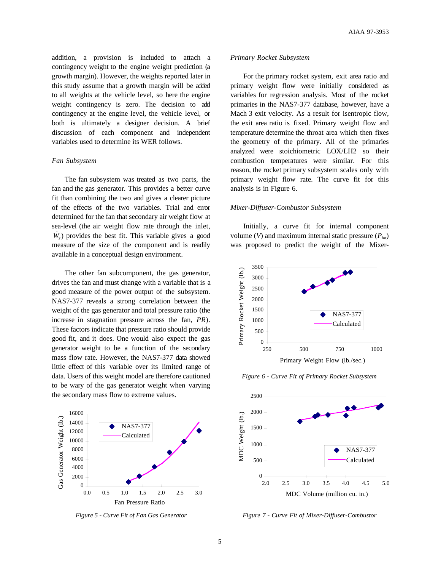addition, a provision is included to attach a contingency weight to the engine weight prediction (a growth margin). However, the weights reported later in this study assume that a growth margin will be added to all weights at the vehicle level, so here the engine weight contingency is zero. The decision to add contingency at the engine level, the vehicle level, or both is ultimately a designer decision. A brief discussion of each component and independent variables used to determine its WER follows.

# *Fan Subsystem*

The fan subsystem was treated as two parts, the fan and the gas generator. This provides a better curve fit than combining the two and gives a clearer picture of the effects of the two variables. Trial and error determined for the fan that secondary air weight flow at sea-level (the air weight flow rate through the inlet,  $\dot{W}_s$ ) provides the best fit. This variable gives a good measure of the size of the component and is readily available in a conceptual design environment.

The other fan subcomponent, the gas generator, drives the fan and must change with a variable that is a good measure of the power output of the subsystem. NAS7-377 reveals a strong correlation between the weight of the gas generator and total pressure ratio (the increase in stagnation pressure across the fan, *PR*). These factors indicate that pressure ratio should provide good fit, and it does. One would also expect the gas generator weight to be a function of the secondary mass flow rate. However, the NAS7-377 data showed little effect of this variable over its limited range of data. Users of this weight model are therefore cautioned to be wary of the gas generator weight when varying the secondary mass flow to extreme values.



*Figure 5 - Curve Fit of Fan Gas Generator*

# *Primary Rocket Subsystem*

For the primary rocket system, exit area ratio and primary weight flow were initially considered as variables for regression analysis. Most of the rocket primaries in the NAS7-377 database, however, have a Mach 3 exit velocity. As a result for isentropic flow, the exit area ratio is fixed. Primary weight flow and temperature determine the throat area which then fixes the geometry of the primary. All of the primaries analyzed were stoichiometric LOX/LH2 so their combustion temperatures were similar. For this reason, the rocket primary subsystem scales only with primary weight flow rate. The curve fit for this analysis is in Figure 6.

#### *Mixer-Diffuser-Combustor Subsystem*

Initially, a curve fit for internal component volume (*V*) and maximum internal static pressure  $(P_{int})$ was proposed to predict the weight of the Mixer-



*Figure 6 - Curve Fit of Primary Rocket Subsystem*



*Figure 7 - Curve Fit of Mixer-Diffuser-Combustor*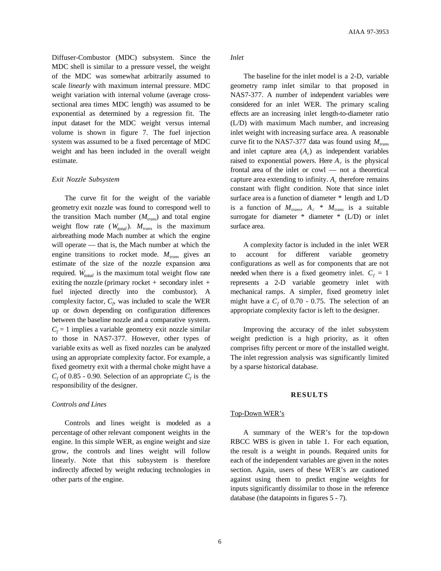Diffuser-Combustor (MDC) subsystem. Since the MDC shell is similar to a pressure vessel, the weight of the MDC was somewhat arbitrarily assumed to scale *linearly* with maximum internal pressure. MDC weight variation with internal volume (average crosssectional area times MDC length) was assumed to be exponential as determined by a regression fit. The input dataset for the MDC weight versus internal volume is shown in figure 7. The fuel injection system was assumed to be a fixed percentage of MDC weight and has been included in the overall weight estimate.

# *Exit Nozzle Subsystem*

The curve fit for the weight of the variable geometry exit nozzle was found to correspond well to the transition Mach number  $(M_{trans})$  and total engine weight flow rate  $(\dot{W}_{total})$ .  $M_{trans}$  is the maximum airbreathing mode Mach number at which the engine will operate — that is, the Mach number at which the engine transitions to rocket mode.  $M_{trans}$  gives an estimate of the size of the nozzle expansion area required.  $\dot{W}_{total}$  is the maximum total weight flow rate exiting the nozzle (primary rocket + secondary inlet + fuel injected directly into the combustor). A complexity factor,  $C_f$ , was included to scale the WER up or down depending on configuration differences between the baseline nozzle and a comparative system.  $C_f$  = 1 implies a variable geometry exit nozzle similar to those in NAS7-377. However, other types of variable exits as well as fixed nozzles can be analyzed using an appropriate complexity factor. For example, a fixed geometry exit with a thermal choke might have a  $C_f$  of 0.85 - 0.90. Selection of an appropriate  $C_f$  is the responsibility of the designer.

# *Controls and Lines*

Controls and lines weight is modeled as a percentage of other relevant component weights in the engine. In this simple WER, as engine weight and size grow, the controls and lines weight will follow linearly. Note that this subsystem is therefore indirectly affected by weight reducing technologies in other parts of the engine.

# *Inlet*

The baseline for the inlet model is a 2-D, variable geometry ramp inlet similar to that proposed in NAS7-377. A number of independent variables were considered for an inlet WER. The primary scaling effects are an increasing inlet length-to-diameter ratio (L/D) with maximum Mach number, and increasing inlet weight with increasing surface area. A reasonable curve fit to the NAS7-377 data was found using  $M_{trans}$ and inlet capture area  $(A<sub>c</sub>)$  as independent variables raised to exponential powers. Here  $A_c$  is the physical frontal area of the inlet or cowl — not a theoretical capture area extending to infinity.  $A_c$  therefore remains constant with flight condition. Note that since inlet surface area is a function of diameter \* length and L/D is a function of  $M_{trans}$ ,  $A_c$  \*  $M_{trans}$  is a suitable surrogate for diameter  $*$  diameter  $*$  (L/D) or inlet surface area.

A complexity factor is included in the inlet WER to account for different variable geometry configurations as well as for components that are not needed when there is a fixed geometry inlet.  $C_f = 1$ represents a 2-D variable geometry inlet with mechanical ramps. A simpler, fixed geometry inlet might have a  $C_f$  of 0.70 - 0.75. The selection of an appropriate complexity factor is left to the designer.

Improving the accuracy of the inlet subsystem weight prediction is a high priority, as it often comprises fifty percent or more of the installed weight. The inlet regression analysis was significantly limited by a sparse historical database.

# **RESULTS**

#### Top-Down WER's

A summary of the WER's for the top-down RBCC WBS is given in table 1. For each equation, the result is a weight in pounds. Required units for each of the independent variables are given in the notes section. Again, users of these WER's are cautioned against using them to predict engine weights for inputs significantly dissimilar to those in the reference database (the datapoints in figures 5 - 7).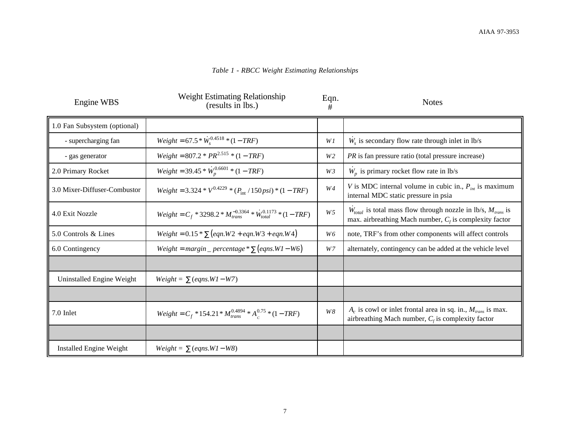# *Table 1 - RBCC Weight Estimating Relationships*

| Engine WBS                     | <b>Weight Estimating Relationship</b><br>(results in lbs.)                     | Eqn.<br>#      | <b>Notes</b>                                                                                                                       |
|--------------------------------|--------------------------------------------------------------------------------|----------------|------------------------------------------------------------------------------------------------------------------------------------|
| 1.0 Fan Subsystem (optional)   |                                                                                |                |                                                                                                                                    |
| - supercharging fan            | $Weight = 67.5 * W_s^{0.4518} * (1 - TRF)$                                     | W <sub>1</sub> | $W_s$ is secondary flow rate through inlet in lb/s                                                                                 |
| - gas generator                | $Weight = 807.2 * PR^{2.515} * (1 - TRF)$                                      | W <sub>2</sub> | <i>PR</i> is fan pressure ratio (total pressure increase)                                                                          |
| 2.0 Primary Rocket             | $Weight = 39.45 * \dot{W}_{p}^{0.6601} * (1 - TRF)$                            | W3             | $W_p$ is primary rocket flow rate in lb/s                                                                                          |
| 3.0 Mixer-Diffuser-Combustor   | $Weight = 3.324 * V^{0.4229} * (P_{int} / 150 \text{ psi}) * (1 - TRF)$        | W4             | V is MDC internal volume in cubic in., $P_{int}$ is maximum<br>internal MDC static pressure in psia                                |
| 4.0 Exit Nozzle                | $Weight = C_f * 3298.2 * M_{trans}^{-0.3364} * W_{total}^{0.1173} * (1 - TRF)$ | W <sub>5</sub> | $W_{total}$ is total mass flow through nozzle in lb/s, $M_{trans}$ is<br>max. airbreathing Mach number, $C_f$ is complexity factor |
| 5.0 Controls & Lines           | $Weight = 0.15 * \sum (eqn.W2 + eqn.W3 + eqn.W4)$                              | W6             | note, TRF's from other components will affect controls                                                                             |
| 6.0 Contingency                | Weight = margin _ percentage * $\sum$ (eqns.W1 – W6)                           | W <sub>7</sub> | alternately, contingency can be added at the vehicle level                                                                         |
|                                |                                                                                |                |                                                                                                                                    |
| Uninstalled Engine Weight      | $Weight = \sum (eqns.W1 - W7)$                                                 |                |                                                                                                                                    |
|                                |                                                                                |                |                                                                                                                                    |
| 7.0 Inlet                      | $Weight = C_f * 154.21 * M_{trans}^{0.4894} * A_c^{0.75} * (1 - TRF)$          | W8             | $A_c$ is cowl or inlet frontal area in sq. in., $M_{trans}$ is max.<br>airbreathing Mach number, $C_f$ is complexity factor        |
|                                |                                                                                |                |                                                                                                                                    |
| <b>Installed Engine Weight</b> | $Weight = \sum (eqns.W1-W8)$                                                   |                |                                                                                                                                    |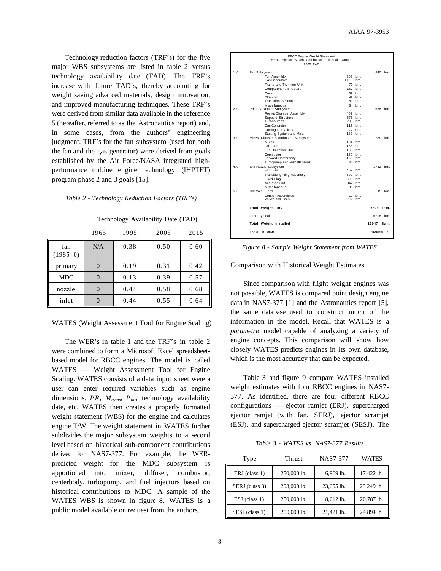Technology reduction factors (TRF's) for the five major WBS subsystems are listed in table 2 versus technology availability date (TAD). The TRF's increase with future TAD's, thereby accounting for weight saving advanced materials, design innovation, and improved manufacturing techniques. These TRF's were derived from similar data available in the reference 5 (hereafter, referred to as the Astronautics report) and, in some cases, from the authors' engineering judgment. TRF's for the fan subsystem (used for both the fan and the gas generator) were derived from goals established by the Air Force/NASA integrated highperformance turbine engine technology (IHPTET) program phase 2 and 3 goals [15].

#### *Table 2 - Technology Reduction Factors (TRF's)*

Technology Availability Date (TAD)

|                   | 1965 | 1995 | 2005 | 2015 |
|-------------------|------|------|------|------|
| fan<br>$(1985=0)$ | N/A  | 0.38 | 0.50 | 0.60 |
| primary           |      | 0.19 | 0.31 | 0.42 |
| <b>MDC</b>        |      | 0.13 | 0.39 | 0.57 |
| nozzle            |      | 0.44 | 0.58 | 0.68 |
| inlet             |      | 0.44 | 0.55 | 0.64 |

# WATES (Weight Assessment Tool for Engine Scaling)

The WER's in table 1 and the TRF's in table 2 were combined to form a Microsoft Excel spreadsheetbased model for RBCC engines. The model is called WATES — Weight Assessment Tool for Engine Scaling. WATES consists of a data input sheet were a user can enter required variables such as engine dimensions, PR,  $M_{trans}$ ,  $P_{int}$ , technology availability date, etc. WATES then creates a properly formatted weight statement (WBS) for the engine and calculates engine T/W. The weight statement in WATES further subdivides the major subsystem weights to a second level based on historical sub-component contributions derived for NAS7-377. For example, the WERpredicted weight for the MDC subsystem is apportioned into mixer, diffuser, combustor, centerbody, turbopump, and fuel injectors based on historical contributions to MDC. A sample of the WATES WBS is shown in figure 8. WATES is a public model available on request from the authors.

|     | <b>RBCC Engine Weight Statement</b><br>SERJ, Ejector: Stoich, Combustor: Full Scale Ramjet<br>2005 TAD |           |                      |              |
|-----|--------------------------------------------------------------------------------------------------------|-----------|----------------------|--------------|
|     |                                                                                                        |           |                      |              |
| 1.0 | Fan Subsystem                                                                                          |           |                      | 1840 lbm.    |
|     | Fan Assembly                                                                                           |           | 303 lbm.             |              |
|     | <b>Gas Generators</b>                                                                                  | 1120 lbm. |                      |              |
|     | Frame and Trunnion Unit                                                                                |           | 79 lbm.<br>157 lbm.  |              |
|     | Compartment Structure<br>Cover                                                                         |           | 39 lbm.              |              |
|     | Actuator                                                                                               |           | 28 lbm.              |              |
|     | <b>Transition Section</b>                                                                              |           | 81 lbm.              |              |
|     | Miscellaneous                                                                                          |           | 34 lbm.              |              |
| 2.0 | Primary Rocket Subsystem                                                                               |           |                      | 1638 lbm.    |
|     | Rocket Chamber Assembly                                                                                |           | 402 lbm.             |              |
|     | Support Structure                                                                                      |           | 576 lbm.             |              |
|     | Turbopumps                                                                                             |           | 286 lbm.             |              |
|     | <b>Gas Generator</b>                                                                                   |           | 115 lbm.             |              |
|     | Ducting and Valves                                                                                     |           | 72 lbm.              |              |
|     | Starting System and Misc.                                                                              |           | 187 lbm.             |              |
| 3.0 | Mixer/ Diffuser /Combustor Subsystem                                                                   |           |                      | 850 lbm.     |
|     | Mixer                                                                                                  |           | 184 lbm.             |              |
|     | Diffuser                                                                                               |           | 166 lbm.             |              |
|     | Fuel Injection Unit                                                                                    |           | 136 lbm.             |              |
|     | Combustor                                                                                              |           | 150 lbm.<br>169 lbm. |              |
|     | Forward Centerbody                                                                                     |           |                      |              |
| 4.0 | Turbopump and Miscellaneous                                                                            |           | 45 lbm.              | 1782 lbm.    |
|     | Exit Nozzle Subsystem<br>Exit Bell                                                                     |           | 457 lbm.             |              |
|     | <b>Translating Ring Assembly</b>                                                                       |           | 500 lbm.             |              |
|     | <b>Fixed Plug</b>                                                                                      |           | 393 lbm.             |              |
|     | Actuator unit                                                                                          |           | 347 lbm.             |              |
|     | Miscellaneous                                                                                          |           | 85 lbm.              |              |
| 5.0 | Controls, Lines                                                                                        |           |                      | 219 lbm.     |
|     | Control Assemblies                                                                                     |           | 17 lbm.              |              |
|     | Valves and Lines                                                                                       |           | 202 lbm.             |              |
|     | Total Weight, Dry                                                                                      |           |                      | 6329<br>Ibm. |
|     | Inlet, typical                                                                                         |           |                      | 6718 lbm.    |
|     | <b>Total Weight Installed</b>                                                                          |           |                      | 13047 lbm.   |
|     | Thrust at liftoff                                                                                      |           |                      | 269000 lb.   |

*Figure 8 - Sample Weight Statement from WATES*

# Comparison with Historical Weight Estimates

Since comparison with flight weight engines was not possible, WATES is compared point design engine data in NAS7-377 [1] and the Astronautics report [5], the same database used to construct much of the information in the model. Recall that WATES is a *parametric* model capable of analyzing a variety of engine concepts. This comparison will show how closely WATES predicts engines in its own database, which is the most accuracy that can be expected.

Table 3 and figure 9 compare WATES installed weight estimates with four RBCC engines in NAS7- 377. As identified, there are four different RBCC configurations — ejector ramjet (ERJ), supercharged ejector ramjet (with fan, SERJ), ejector scramjet (ESJ), and supercharged ejector scramjet (SESJ). The

*Table 3 - WATES vs. NAS7-377 Results*

| Type            | Thrust      | NAS7-377   | WATES      |
|-----------------|-------------|------------|------------|
| ERJ (class 1)   | 250,000 lb. | 16,969 lb. | 17,422 lb. |
| SERJ (class 3)  | 203,000 lb. | 23,655 lb. | 23,249 lb. |
| $ESJ$ (class 1) | 250,000 lb. | 18,612 lb. | 20,787 lb. |
| SESJ (class 1)  | 250,000 lb. | 21,421 lb. | 24,894 lb. |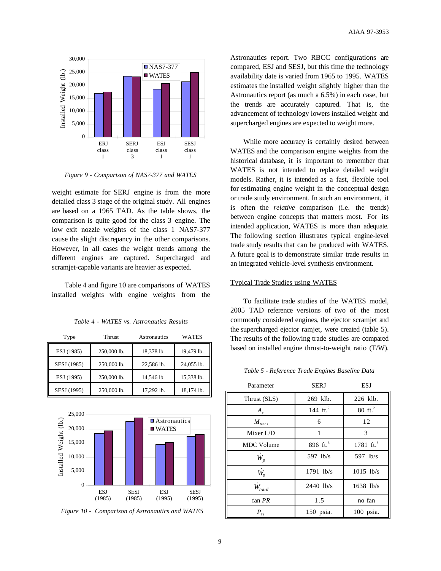

*Figure 9 - Comparison of NAS7-377 and WATES*

weight estimate for SERJ engine is from the more detailed class 3 stage of the original study. All engines are based on a 1965 TAD. As the table shows, the comparison is quite good for the class 3 engine. The low exit nozzle weights of the class 1 NAS7-377 cause the slight discrepancy in the other comparisons. However, in all cases the weight trends among the different engines are captured. Supercharged and scramjet-capable variants are heavier as expected.

Table 4 and figure 10 are comparisons of WATES installed weights with engine weights from the

| Type        | <b>Thrust</b> | Astronautics | <b>WATES</b> |
|-------------|---------------|--------------|--------------|
| ESJ (1985)  | 250,000 lb.   | 18,378 lb.   | 19,479 lb.   |
| SESJ (1985) | 250,000 lb.   | 22,586 lb.   | 24,055 lb.   |
| ESJ (1995)  | 250,000 lb.   | 14,546 lb.   | 15,338 lb.   |
| SESJ (1995) | 250,000 lb.   | 17,292 lb.   | 18,174 lb.   |



 *Figure 10 - Comparison of Astronautics and WATES*

Astronautics report. Two RBCC configurations are compared, ESJ and SESJ, but this time the technology availability date is varied from 1965 to 1995. WATES estimates the installed weight slightly higher than the Astronautics report (as much a 6.5%) in each case, but the trends are accurately captured. That is, the advancement of technology lowers installed weight and supercharged engines are expected to weight more.

While more accuracy is certainly desired between WATES and the comparison engine weights from the historical database, it is important to remember that WATES is not intended to replace detailed weight models. Rather, it is intended as a fast, flexible tool for estimating engine weight in the conceptual design or trade study environment. In such an environment, it is often the *relative* comparison (i.e. the trends) between engine concepts that matters most. For its intended application, WATES is more than adequate. The following section illustrates typical engine-level trade study results that can be produced with WATES. A future goal is to demonstrate similar trade results in an integrated vehicle-level synthesis environment.

#### Typical Trade Studies using WATES

To facilitate trade studies of the WATES model, 2005 TAD reference versions of two of the most commonly considered engines, the ejector scramjet and the supercharged ejector ramjet, were created (table 5). The results of the following trade studies are compared based on installed engine thrust-to-weight ratio (T/W).

| Parameter                    | <b>SERJ</b>          | <b>ESJ</b>            |
|------------------------------|----------------------|-----------------------|
| Thrust (SLS)                 | 269 klb.             | 226 klb.              |
| $A_c$                        | 144 ft. <sup>2</sup> | $80 \text{ ft.}^2$    |
| $\boldsymbol{M}_{trans}$     | 6                    | 12                    |
| Mixer L/D                    | 1                    | 3                     |
| <b>MDC</b> Volume            | 896 ft. $3$          | 1781 ft. <sup>3</sup> |
| $\dot{W}_p$                  | 597 $lb/s$           | 597 $lb/s$            |
| $\dot{W}_s$                  | $1791$ lb/s          | $1015$ lb/s           |
| $W_{total}$                  | $2440$ lb/s          | $1638$ lb/s           |
| fan PR                       | 1.5                  | no fan                |
| $P_{\scriptscriptstyle int}$ | 150 psia.            | 100 psia.             |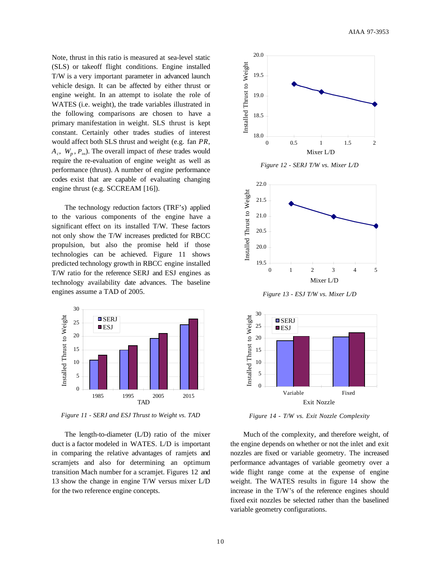Note, thrust in this ratio is measured at sea-level static (SLS) or takeoff flight conditions. Engine installed T/W is a very important parameter in advanced launch vehicle design. It can be affected by either thrust or engine weight. In an attempt to isolate the role of WATES (i.e. weight), the trade variables illustrated in the following comparisons are chosen to have a primary manifestation in weight. SLS thrust is kept constant. Certainly other trades studies of interest would affect both SLS thrust and weight (e.g. fan *PR*,  $A_c$ ,  $W_p$ ,  $P_{inl}$ ). The overall impact of *these* trades would require the re-evaluation of engine weight as well as performance (thrust). A number of engine performance codes exist that are capable of evaluating changing engine thrust (e.g. SCCREAM [16]).

The technology reduction factors (TRF's) applied to the various components of the engine have a significant effect on its installed T/W. These factors not only show the T/W increases predicted for RBCC propulsion, but also the promise held if those technologies can be achieved. Figure 11 shows predicted technology growth in RBCC engine installed T/W ratio for the reference SERJ and ESJ engines as technology availability date advances. The baseline engines assume a TAD of 2005.



*Figure 11 - SERJ and ESJ Thrust to Weight vs. TAD*

The length-to-diameter (L/D) ratio of the mixer duct is a factor modeled in WATES. L/D is important in comparing the relative advantages of ramjets and scramjets and also for determining an optimum transition Mach number for a scramjet. Figures 12 and 13 show the change in engine T/W versus mixer L/D for the two reference engine concepts.



*Figure 12 - SERJ T/W vs. Mixer L/D*



*Figure 13 - ESJ T/W vs. Mixer L/D*



*Figure 14 - T/W vs. Exit Nozzle Complexity*

Much of the complexity, and therefore weight, of the engine depends on whether or not the inlet and exit nozzles are fixed or variable geometry. The increased performance advantages of variable geometry over a wide flight range come at the expense of engine weight. The WATES results in figure 14 show the increase in the T/W's of the reference engines should fixed exit nozzles be selected rather than the baselined variable geometry configurations.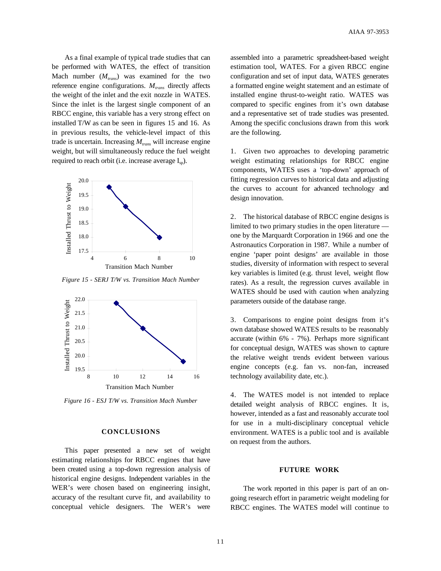As a final example of typical trade studies that can be performed with WATES, the effect of transition Mach number  $(M_{trans})$  was examined for the two reference engine configurations.  $M_{trans}$  directly affects the weight of the inlet and the exit nozzle in WATES. Since the inlet is the largest single component of an RBCC engine, this variable has a very strong effect on installed T/W as can be seen in figures 15 and 16. As in previous results, the vehicle-level impact of this trade is uncertain. Increasing  $M_{trans}$  will increase engine weight, but will simultaneously reduce the fuel weight required to reach orbit (i.e. increase average  $I_{\rm SD}$ ).



*Figure 15 - SERJ T/W vs. Transition Mach Number*



*Figure 16 - ESJ T/W vs. Transition Mach Number*

#### **CONCLUSIONS**

This paper presented a new set of weight estimating relationships for RBCC engines that have been created using a top-down regression analysis of historical engine designs. Independent variables in the WER's were chosen based on engineering insight, accuracy of the resultant curve fit, and availability to conceptual vehicle designers. The WER's were

assembled into a parametric spreadsheet-based weight estimation tool, WATES. For a given RBCC engine configuration and set of input data, WATES generates a formatted engine weight statement and an estimate of installed engine thrust-to-weight ratio. WATES was compared to specific engines from it's own database and a representative set of trade studies was presented. Among the specific conclusions drawn from this work are the following.

1. Given two approaches to developing parametric weight estimating relationships for RBCC engine components, WATES uses a 'top-down' approach of fitting regression curves to historical data and adjusting the curves to account for advanced technology and design innovation.

2. The historical database of RBCC engine designs is limited to two primary studies in the open literature one by the Marquardt Corporation in 1966 and one the Astronautics Corporation in 1987. While a number of engine 'paper point designs' are available in those studies, diversity of information with respect to several key variables is limited (e.g. thrust level, weight flow rates). As a result, the regression curves available in WATES should be used with caution when analyzing parameters outside of the database range.

3. Comparisons to engine point designs from it's own database showed WATES results to be reasonably accurate (within 6% - 7%). Perhaps more significant for conceptual design, WATES was shown to capture the relative weight trends evident between various engine concepts (e.g. fan vs. non-fan, increased technology availability date, etc.).

4. The WATES model is not intended to replace detailed weight analysis of RBCC engines. It is, however, intended as a fast and reasonably accurate tool for use in a multi-disciplinary conceptual vehicle environment. WATES is a public tool and is available on request from the authors.

# **FUTURE WORK**

The work reported in this paper is part of an ongoing research effort in parametric weight modeling for RBCC engines. The WATES model will continue to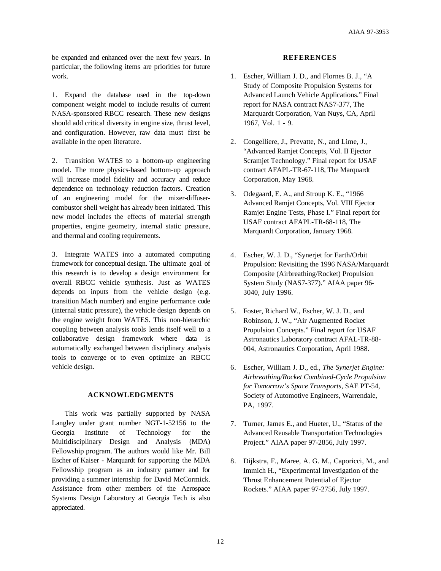be expanded and enhanced over the next few years. In particular, the following items are priorities for future work.

1. Expand the database used in the top-down component weight model to include results of current NASA-sponsored RBCC research. These new designs should add critical diversity in engine size, thrust level, and configuration. However, raw data must first be available in the open literature.

2. Transition WATES to a bottom-up engineering model. The more physics-based bottom-up approach will increase model fidelity and accuracy and reduce dependence on technology reduction factors. Creation of an engineering model for the mixer-diffusercombustor shell weight has already been initiated. This new model includes the effects of material strength properties, engine geometry, internal static pressure, and thermal and cooling requirements.

3. Integrate WATES into a automated computing framework for conceptual design. The ultimate goal of this research is to develop a design environment for overall RBCC vehicle synthesis. Just as WATES depends on inputs from the vehicle design (e.g. transition Mach number) and engine performance code (internal static pressure), the vehicle design depends on the engine weight from WATES. This non-hierarchic coupling between analysis tools lends itself well to a collaborative design framework where data is automatically exchanged between disciplinary analysis tools to converge or to even optimize an RBCC vehicle design.

# **ACKNOWLEDGMENTS**

This work was partially supported by NASA Langley under grant number NGT-1-52156 to the Georgia Institute of Technology for the Multidisciplinary Design and Analysis (MDA) Fellowship program. The authors would like Mr. Bill Escher of Kaiser - Marquardt for supporting the MDA Fellowship program as an industry partner and for providing a summer internship for David McCormick. Assistance from other members of the Aerospace Systems Design Laboratory at Georgia Tech is also appreciated.

# **REFERENCES**

- 1. Escher, William J. D., and Flornes B. J., "A Study of Composite Propulsion Systems for Advanced Launch Vehicle Applications." Final report for NASA contract NAS7-377, The Marquardt Corporation, Van Nuys, CA, April 1967, Vol. 1 - 9.
- 2. Congelliere, J., Prevatte, N., and Lime, J., "Advanced Ramjet Concepts, Vol. II Ejector Scramjet Technology." Final report for USAF contract AFAPL-TR-67-118, The Marquardt Corporation, May 1968.
- 3. Odegaard, E. A., and Stroup K. E., "1966 Advanced Ramjet Concepts, Vol. VIII Ejector Ramjet Engine Tests, Phase I." Final report for USAF contract AFAPL-TR-68-118, The Marquardt Corporation, January 1968.
- 4. Escher, W. J. D., "Synerjet for Earth/Orbit Propulsion: Revisiting the 1996 NASA/Marquardt Composite (Airbreathing/Rocket) Propulsion System Study (NAS7-377)." AIAA paper 96- 3040, July 1996.
- 5. Foster, Richard W., Escher, W. J. D., and Robinson, J. W., "Air Augmented Rocket Propulsion Concepts." Final report for USAF Astronautics Laboratory contract AFAL-TR-88- 004, Astronautics Corporation, April 1988.
- 6. Escher, William J. D., ed., *The Synerjet Engine: Airbreathing/Rocket Combined-Cycle Propulsion for Tomorrow's Space Transports*, SAE PT-54, Society of Automotive Engineers, Warrendale, PA, 1997.
- 7. Turner, James E., and Hueter, U., "Status of the Advanced Reusable Transportation Technologies Project." AIAA paper 97-2856, July 1997.
- 8. Dijkstra, F., Maree, A. G. M., Caporicci, M., and Immich H., "Experimental Investigation of the Thrust Enhancement Potential of Ejector Rockets." AIAA paper 97-2756, July 1997.